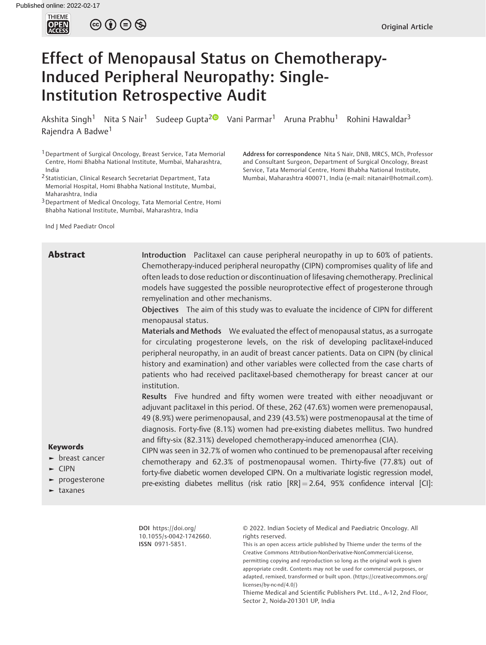

 $\circledcirc \circledcirc \circledcirc$ 

# Effect of Menopausal Status on Chemotherapy-Induced Peripheral Neuropathy: Single-Institution Retrospective Audit

Akshita Singh<sup>1</sup> Nita S Nair<sup>1</sup> Sudeep Gupta<sup>[2](https://orcid.org/0000-0002-6742-6378) (1)</sup> Vani Parmar<sup>1</sup> Aruna Prabhu<sup>1</sup> Rohini Hawaldar<sup>3</sup> Rajendra A Badwe<sup>1</sup>

1Department of Surgical Oncology, Breast Service, Tata Memorial Centre, Homi Bhabha National Institute, Mumbai, Maharashtra, India

2 Statistician, Clinical Research Secretariat Department, Tata Memorial Hospital, Homi Bhabha National Institute, Mumbai, Maharashtra, India

3Department of Medical Oncology, Tata Memorial Centre, Homi Bhabha National Institute, Mumbai, Maharashtra, India

Ind J Med Paediatr Oncol

Address for correspondence Nita S Nair, DNB, MRCS, MCh, Professor and Consultant Surgeon, Department of Surgical Oncology, Breast Service, Tata Memorial Centre, Homi Bhabha National Institute, Mumbai, Maharashtra 400071, India (e-mail: [nitanair@hotmail.com\)](mailto:nitanair@hotmail.com).

**Abstract** Introduction Paclitaxel can cause peripheral neuropathy in up to 60% of patients. Chemotherapy-induced peripheral neuropathy (CIPN) compromises quality of life and often leads to dose reduction or discontinuation of lifesaving chemotherapy. Preclinical models have suggested the possible neuroprotective effect of progesterone through remyelination and other mechanisms.

> Objectives The aim of this study was to evaluate the incidence of CIPN for different menopausal status.

> Materials and Methods We evaluated the effect of menopausal status, as a surrogate for circulating progesterone levels, on the risk of developing paclitaxel-induced peripheral neuropathy, in an audit of breast cancer patients. Data on CIPN (by clinical history and examination) and other variables were collected from the case charts of patients who had received paclitaxel-based chemotherapy for breast cancer at our institution.

> Results Five hundred and fifty women were treated with either neoadjuvant or adjuvant paclitaxel in this period. Of these, 262 (47.6%) women were premenopausal, 49 (8.9%) were perimenopausal, and 239 (43.5%) were postmenopausal at the time of diagnosis. Forty-five (8.1%) women had pre-existing diabetes mellitus. Two hundred and fifty-six (82.31%) developed chemotherapy-induced amenorrhea (CIA).

## Keywords

- ► breast cancer
- ► CIPN
- ► progesterone
- ► taxanes

CIPN was seen in 32.7% of women who continued to be premenopausal after receiving chemotherapy and 62.3% of postmenopausal women. Thirty-five (77.8%) out of forty-five diabetic women developed CIPN. On a multivariate logistic regression model, pre-existing diabetes mellitus (risk ratio  $[RR] = 2.64$ , 95% confidence interval  $[Cl]$ :

DOI [https://doi.org/](https://doi.org/10.1055/s-0042-1742660) [10.1055/s-0042-1742660](https://doi.org/10.1055/s-0042-1742660). ISSN 0971-5851.

© 2022. Indian Society of Medical and Paediatric Oncology. All rights reserved.

This is an open access article published by Thieme under the terms of the Creative Commons Attribution-NonDerivative-NonCommercial-License, permitting copying and reproduction so long as the original work is given appropriate credit. Contents may not be used for commercial purposes, or adapted, remixed, transformed or built upon. (https://creativecommons.org/ licenses/by-nc-nd/4.0/)

Thieme Medical and Scientific Publishers Pvt. Ltd., A-12, 2nd Floor, Sector 2, Noida-201301 UP, India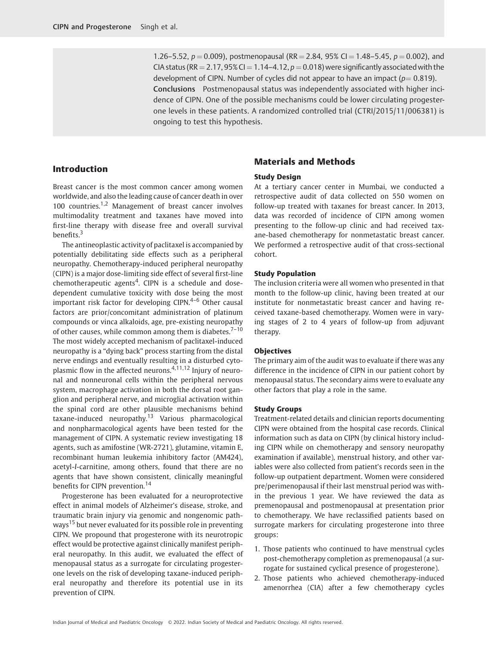1.26–5.52,  $p = 0.009$ ), postmenopausal (RR = 2.84, 95% CI = 1.48–5.45,  $p = 0.002$ ), and CIA status (RR = 2.17, 95% CI = 1.14-4.12,  $p = 0.018$ ) were significantly associated with the development of CIPN. Number of cycles did not appear to have an impact ( $p=0.819$ ). Conclusions Postmenopausal status was independently associated with higher incidence of CIPN. One of the possible mechanisms could be lower circulating progesterone levels in these patients. A randomized controlled trial (CTRI/2015/11/006381) is ongoing to test this hypothesis.

#### Introduction

# Materials and Methods

# Study Design

Breast cancer is the most common cancer among women worldwide, and also the leading cause of cancer death in over 100 countries.<sup>1,2</sup> Management of breast cancer involves multimodality treatment and taxanes have moved into first-line therapy with disease free and overall survival benefits.<sup>3</sup>

The antineoplastic activity of paclitaxel is accompanied by potentially debilitating side effects such as a peripheral neuropathy. Chemotherapy-induced peripheral neuropathy (CIPN) is a major dose-limiting side effect of several first-line chemotherapeutic agents<sup>4</sup>. CIPN is a schedule and dosedependent cumulative toxicity with dose being the most important risk factor for developing CIPN.<sup>4-6</sup> Other causal factors are prior/concomitant administration of platinum compounds or vinca alkaloids, age, pre-existing neuropathy of other causes, while common among them is diabetes. $7-10$ The most widely accepted mechanism of paclitaxel-induced neuropathy is a "dying back" process starting from the distal nerve endings and eventually resulting in a disturbed cytoplasmic flow in the affected neurons.4,11,12 Injury of neuronal and nonneuronal cells within the peripheral nervous system, macrophage activation in both the dorsal root ganglion and peripheral nerve, and microglial activation within the spinal cord are other plausible mechanisms behind taxane-induced neuropathy.<sup>13</sup> Various pharmacological and nonpharmacological agents have been tested for the management of CIPN. A systematic review investigating 18 agents, such as amifostine (WR-2721), glutamine, vitamin E, recombinant human leukemia inhibitory factor (AM424), acetyl-l-carnitine, among others, found that there are no agents that have shown consistent, clinically meaningful benefits for CIPN prevention.<sup>14</sup>

Progesterone has been evaluated for a neuroprotective effect in animal models of Alzheimer's disease, stroke, and traumatic brain injury via genomic and nongenomic pathways<sup>15</sup> but never evaluated for its possible role in preventing CIPN. We propound that progesterone with its neurotropic effect would be protective against clinically manifest peripheral neuropathy. In this audit, we evaluated the effect of menopausal status as a surrogate for circulating progesterone levels on the risk of developing taxane-induced peripheral neuropathy and therefore its potential use in its prevention of CIPN.

#### At a tertiary cancer center in Mumbai, we conducted a retrospective audit of data collected on 550 women on follow-up treated with taxanes for breast cancer. In 2013, data was recorded of incidence of CIPN among women presenting to the follow-up clinic and had received taxane-based chemotherapy for nonmetastatic breast cancer. We performed a retrospective audit of that cross-sectional cohort.

#### Study Population

The inclusion criteria were all women who presented in that month to the follow-up clinic, having been treated at our institute for nonmetastatic breast cancer and having received taxane-based chemotherapy. Women were in varying stages of 2 to 4 years of follow-up from adjuvant therapy.

#### **Objectives**

The primary aim of the audit was to evaluate if there was any difference in the incidence of CIPN in our patient cohort by menopausal status. The secondary aims were to evaluate any other factors that play a role in the same.

#### Study Groups

Treatment-related details and clinician reports documenting CIPN were obtained from the hospital case records. Clinical information such as data on CIPN (by clinical history including CIPN while on chemotherapy and sensory neuropathy examination if available), menstrual history, and other variables were also collected from patient's records seen in the follow-up outpatient department. Women were considered pre/perimenopausal if their last menstrual period was within the previous 1 year. We have reviewed the data as premenopausal and postmenopausal at presentation prior to chemotherapy. We have reclassified patients based on surrogate markers for circulating progesterone into three groups:

- 1. Those patients who continued to have menstrual cycles post-chemotherapy completion as premenopausal (a surrogate for sustained cyclical presence of progesterone).
- 2. Those patients who achieved chemotherapy-induced amenorrhea (CIA) after a few chemotherapy cycles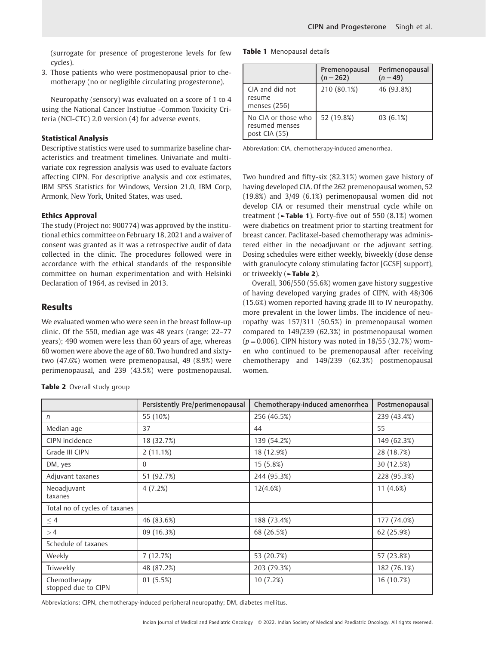(surrogate for presence of progesterone levels for few cycles).

3. Those patients who were postmenopausal prior to chemotherapy (no or negligible circulating progesterone).

Neuropathy (sensory) was evaluated on a score of 1 to 4 using the National Cancer Instiutue -Common Toxicity Criteria (NCI-CTC) 2.0 version (4) for adverse events.

#### Statistical Analysis

Descriptive statistics were used to summarize baseline characteristics and treatment timelines. Univariate and multivariate cox regression analysis was used to evaluate factors affecting CIPN. For descriptive analysis and cox estimates, IBM SPSS Statistics for Windows, Version 21.0, IBM Corp, Armonk, New York, United States, was used.

#### Ethics Approval

The study (Project no: 900774) was approved by the institutional ethics committee on February 18, 2021 and a waiver of consent was granted as it was a retrospective audit of data collected in the clinic. The procedures followed were in accordance with the ethical standards of the responsible committee on human experimentation and with Helsinki Declaration of 1964, as revised in 2013.

#### Results

We evaluated women who were seen in the breast follow-up clinic. Of the 550, median age was 48 years (range: 22–77 years); 490 women were less than 60 years of age, whereas 60 women were above the age of 60. Two hundred and sixtytwo (47.6%) women were premenopausal, 49 (8.9%) were perimenopausal, and 239 (43.5%) were postmenopausal.

Table 2 Overall study group

Table 1 Menopausal details

|                                                        | Premenopausal<br>$(n=262)$ | Perimenopausal<br>$(n=49)$ |
|--------------------------------------------------------|----------------------------|----------------------------|
| CIA and did not<br>resume<br>menses (256)              | 210 (80.1%)                | 46 (93.8%)                 |
| No CIA or those who<br>resumed menses<br>post CIA (55) | 52 (19.8%)                 | 03(6.1%)                   |

Abbreviation: CIA, chemotherapy-induced amenorrhea.

Two hundred and fifty-six (82.31%) women gave history of having developed CIA. Of the 262 premenopausal women, 52 (19.8%) and 3/49 (6.1%) perimenopausal women did not develop CIA or resumed their menstrual cycle while on treatment ( $\blacktriangleright$ Table 1). Forty-five out of 550 (8.1%) women were diabetics on treatment prior to starting treatment for breast cancer. Paclitaxel-based chemotherapy was administered either in the neoadjuvant or the adjuvant setting. Dosing schedules were either weekly, biweekly (dose dense with granulocyte colony stimulating factor [GCSF] support), or triweekly (►Table 2).

Overall, 306/550 (55.6%) women gave history suggestive of having developed varying grades of CIPN, with 48/306 (15.6%) women reported having grade III to IV neuropathy, more prevalent in the lower limbs. The incidence of neuropathy was 157/311 (50.5%) in premenopausal women compared to 149/239 (62.3%) in postmenopausal women  $(p = 0.006)$ . CIPN history was noted in 18/55 (32.7%) women who continued to be premenopausal after receiving chemotherapy and 149/239 (62.3%) postmenopausal women.

|                                     | Persistently Pre/perimenopausal | Chemotherapy-induced amenorrhea | Postmenopausal |
|-------------------------------------|---------------------------------|---------------------------------|----------------|
| n                                   | 55 (10%)                        | 256 (46.5%)                     | 239 (43.4%)    |
| Median age                          | 37                              | 44                              | 55             |
| CIPN incidence                      | 18 (32.7%)                      | 139 (54.2%)                     | 149 (62.3%)    |
| Grade III CIPN                      | 2(11.1%)                        | 18 (12.9%)                      | 28 (18.7%)     |
| DM, yes                             | $\Omega$                        | 15 (5.8%)                       | 30 (12.5%)     |
| Adjuvant taxanes                    | 51 (92.7%)                      | 244 (95.3%)                     | 228 (95.3%)    |
| Neoadjuvant<br>taxanes              | 4(7.2%)                         | 12(4.6%)                        | 11 $(4.6%)$    |
| Total no of cycles of taxanes       |                                 |                                 |                |
| $\leq 4$                            | 46 (83.6%)                      | 188 (73.4%)                     | 177 (74.0%)    |
| >4                                  | 09 (16.3%)                      | 68 (26.5%)                      | 62 (25.9%)     |
| Schedule of taxanes                 |                                 |                                 |                |
| Weekly                              | 7 (12.7%)                       | 53 (20.7%)                      | 57 (23.8%)     |
| Triweekly                           | 48 (87.2%)                      | 203 (79.3%)                     | 182 (76.1%)    |
| Chemotherapy<br>stopped due to CIPN | 01(5.5%)                        | 10(7.2%)                        | 16 (10.7%)     |

Abbreviations: CIPN, chemotherapy-induced peripheral neuropathy; DM, diabetes mellitus.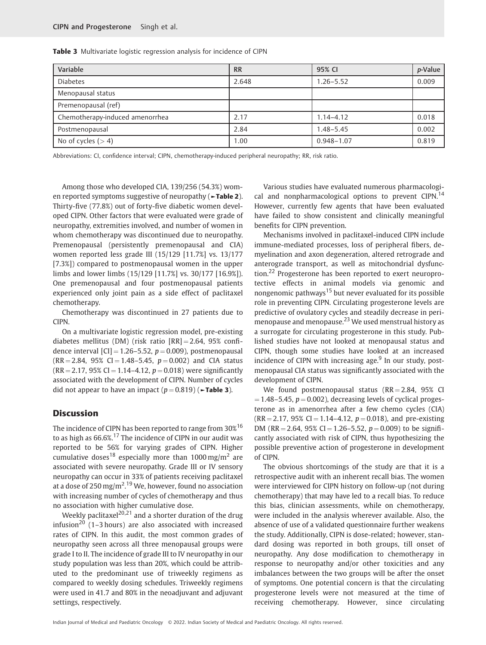| Variable                        | <b>RR</b> | 95% CI         | <i>p</i> -Value |
|---------------------------------|-----------|----------------|-----------------|
| <b>Diabetes</b>                 | 2.648     | $1.26 - 5.52$  | 0.009           |
| Menopausal status               |           |                |                 |
| Premenopausal (ref)             |           |                |                 |
| Chemotherapy-induced amenorrhea | 2.17      | $1.14 - 4.12$  | 0.018           |
| Postmenopausal                  | 2.84      | $1.48 - 5.45$  | 0.002           |
| No of cycles $(>4)$             | 1.00      | $0.948 - 1.07$ | 0.819           |

Table 3 Multivariate logistic regression analysis for incidence of CIPN

Abbreviations: CI, confidence interval; CIPN, chemotherapy-induced peripheral neuropathy; RR, risk ratio.

Among those who developed CIA, 139/256 (54.3%) women reported symptoms suggestive of neuropathy (►Table 2). Thirty-five (77.8%) out of forty-five diabetic women developed CIPN. Other factors that were evaluated were grade of neuropathy, extremities involved, and number of women in whom chemotherapy was discontinued due to neuropathy. Premenopausal (persistently premenopausal and CIA) women reported less grade III (15/129 [11.7%] vs. 13/177 [7.3%]) compared to postmenopausal women in the upper limbs and lower limbs (15/129 [11.7%] vs. 30/177 [16.9%]). One premenopausal and four postmenopausal patients experienced only joint pain as a side effect of paclitaxel chemotherapy.

Chemotherapy was discontinued in 27 patients due to **CIPN.** 

On a multivariate logistic regression model, pre-existing diabetes mellitus (DM) (risk ratio  $[RR] = 2.64$ , 95% confidence interval  $|CI| = 1.26 - 5.52$ ,  $p = 0.009$ ), postmenopausal  $(RR = 2.84, 95\% CI = 1.48 - 5.45, p = 0.002)$  and CIA status  $(RR = 2.17, 95\% CI = 1.14 - 4.12, p = 0.018)$  were significantly associated with the development of CIPN. Number of cycles did not appear to have an impact  $(p = 0.819)$  ( $\blacktriangleright$ Table 3).

#### **Discussion**

The incidence of CIPN has been reported to range from 30%<sup>16</sup> to as high as 66.6%.<sup>17</sup> The incidence of CIPN in our audit was reported to be 56% for varying grades of CIPN. Higher cumulative doses<sup>18</sup> especially more than  $1000 \,\text{mg/m}^2$  are associated with severe neuropathy. Grade III or IV sensory neuropathy can occur in 33% of patients receiving paclitaxel at a dose of 250 mg/m $^{\rm 2.19}$  We, however, found no association with increasing number of cycles of chemotherapy and thus no association with higher cumulative dose.

Weekly paclitaxel<sup>20,21</sup> and a shorter duration of the drug infusion<sup>20</sup> (1–3 hours) are also associated with increased rates of CIPN. In this audit, the most common grades of neuropathy seen across all three menopausal groups were grade I to II. The incidence of grade III to IV neuropathy in our study population was less than 20%, which could be attributed to the predominant use of triweekly regimens as compared to weekly dosing schedules. Triweekly regimens were used in 41.7 and 80% in the neoadjuvant and adjuvant settings, respectively.

Various studies have evaluated numerous pharmacological and nonpharmacological options to prevent CIPN.<sup>14</sup> However, currently few agents that have been evaluated have failed to show consistent and clinically meaningful benefits for CIPN prevention.

Mechanisms involved in paclitaxel-induced CIPN include immune-mediated processes, loss of peripheral fibers, demyelination and axon degeneration, altered retrograde and anterograde transport, as well as mitochondrial dysfunction.<sup>22</sup> Progesterone has been reported to exert neuroprotective effects in animal models via genomic and nongenomic pathways<sup>15</sup> but never evaluated for its possible role in preventing CIPN. Circulating progesterone levels are predictive of ovulatory cycles and steadily decrease in perimenopause and menopause.<sup>23</sup> We used menstrual history as a surrogate for circulating progesterone in this study. Published studies have not looked at menopausal status and CIPN, though some studies have looked at an increased incidence of CIPN with increasing age. $9$  In our study, postmenopausal CIA status was significantly associated with the development of CIPN.

We found postmenopausal status  $(RR = 2.84, 95\%$  CI  $= 1.48 - 5.45$ ,  $p = 0.002$ ), decreasing levels of cyclical progesterone as in amenorrhea after a few chemo cycles (CIA)  $(RR = 2.17, 95\% CI = 1.14 - 4.12, p = 0.018)$ , and pre-existing DM (RR = 2.64, 95% CI = 1.26–5.52,  $p = 0.009$ ) to be significantly associated with risk of CIPN, thus hypothesizing the possible preventive action of progesterone in development of CIPN.

The obvious shortcomings of the study are that it is a retrospective audit with an inherent recall bias. The women were interviewed for CIPN history on follow-up (not during chemotherapy) that may have led to a recall bias. To reduce this bias, clinician assessments, while on chemotherapy, were included in the analysis wherever available. Also, the absence of use of a validated questionnaire further weakens the study. Additionally, CIPN is dose-related; however, standard dosing was reported in both groups, till onset of neuropathy. Any dose modification to chemotherapy in response to neuropathy and/or other toxicities and any imbalances between the two groups will be after the onset of symptoms. One potential concern is that the circulating progesterone levels were not measured at the time of receiving chemotherapy. However, since circulating